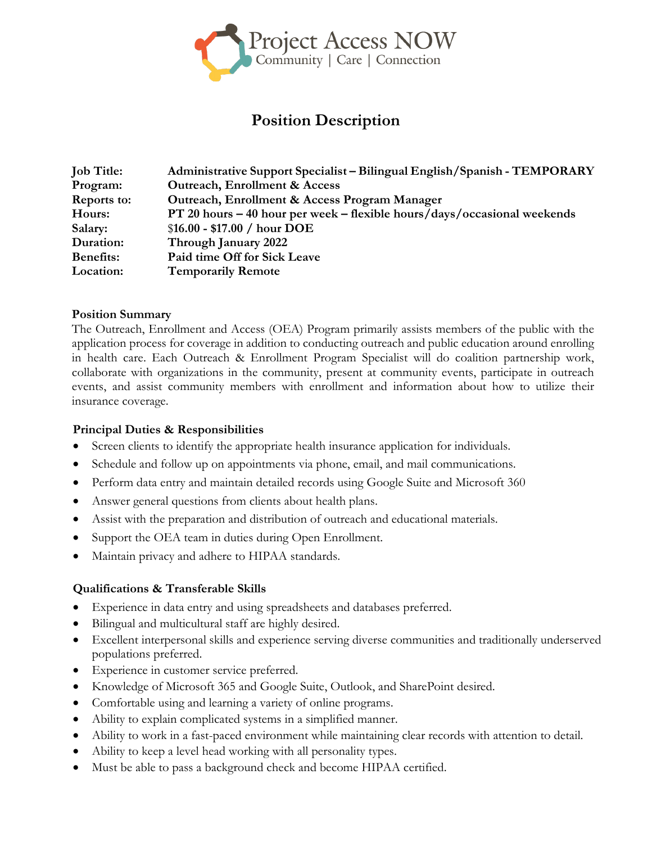

# **Position Description**

| <b>Job Title:</b>  | Administrative Support Specialist – Bilingual English/Spanish - TEMPORARY |
|--------------------|---------------------------------------------------------------------------|
| Program:           | <b>Outreach, Enrollment &amp; Access</b>                                  |
| <b>Reports to:</b> | Outreach, Enrollment & Access Program Manager                             |
| Hours:             | PT 20 hours - 40 hour per week - flexible hours/days/occasional weekends  |
| Salary:            | $$16.00 - $17.00 / hour DOE$                                              |
| Duration:          | Through January 2022                                                      |
| <b>Benefits:</b>   | Paid time Off for Sick Leave                                              |
| Location:          | <b>Temporarily Remote</b>                                                 |

# **Position Summary**

The Outreach, Enrollment and Access (OEA) Program primarily assists members of the public with the application process for coverage in addition to conducting outreach and public education around enrolling in health care. Each Outreach & Enrollment Program Specialist will do coalition partnership work, collaborate with organizations in the community, present at community events, participate in outreach events, and assist community members with enrollment and information about how to utilize their insurance coverage.

# **Principal Duties & Responsibilities**

- Screen clients to identify the appropriate health insurance application for individuals.
- Schedule and follow up on appointments via phone, email, and mail communications.
- Perform data entry and maintain detailed records using Google Suite and Microsoft 360
- Answer general questions from clients about health plans.
- Assist with the preparation and distribution of outreach and educational materials.
- Support the OEA team in duties during Open Enrollment.
- Maintain privacy and adhere to HIPAA standards.

# **Qualifications & Transferable Skills**

- Experience in data entry and using spreadsheets and databases preferred.
- Bilingual and multicultural staff are highly desired.
- Excellent interpersonal skills and experience serving diverse communities and traditionally underserved populations preferred.
- Experience in customer service preferred.
- Knowledge of Microsoft 365 and Google Suite, Outlook, and SharePoint desired.
- Comfortable using and learning a variety of online programs.
- Ability to explain complicated systems in a simplified manner.
- Ability to work in a fast-paced environment while maintaining clear records with attention to detail.
- Ability to keep a level head working with all personality types.
- Must be able to pass a background check and become HIPAA certified.